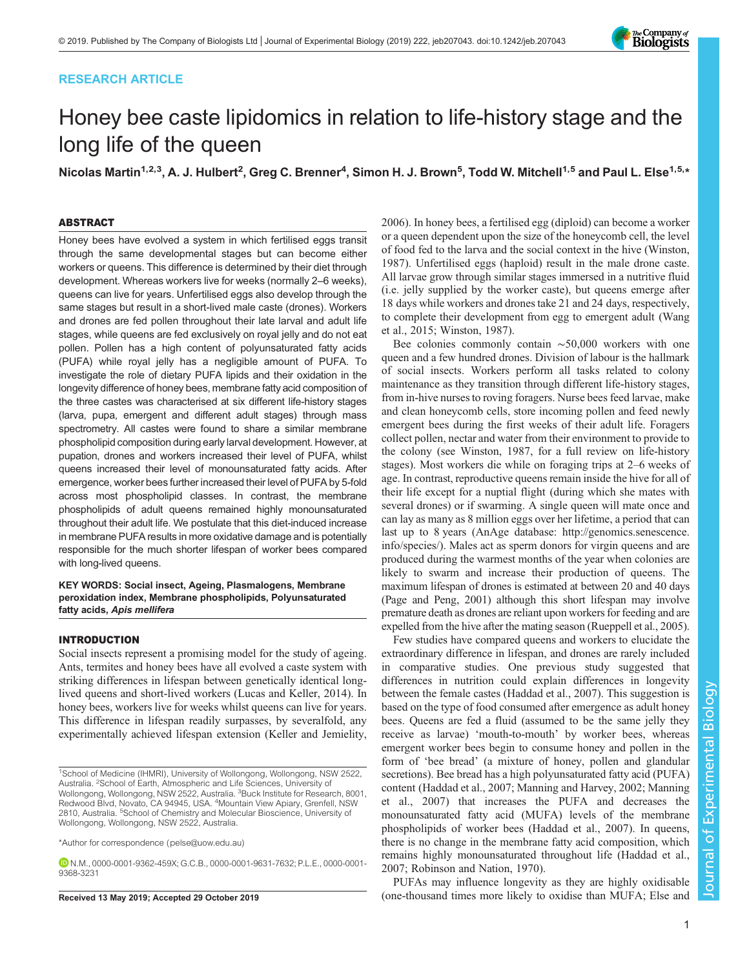## RESEARCH ARTICLE



# Honey bee caste lipidomics in relation to life-history stage and the long life of the queen

Nicolas Martin<sup>1,2,3</sup>, A. J. Hulbert<sup>2</sup>, Greg C. Brenner<sup>4</sup>, Simon H. J. Brown<sup>5</sup>, Todd W. Mitchell<sup>1,5</sup> and Paul L. Else<sup>1,5,</sup>\*

## ABSTRACT

Honey bees have evolved a system in which fertilised eggs transit through the same developmental stages but can become either workers or queens. This difference is determined by their diet through development. Whereas workers live for weeks (normally 2–6 weeks), queens can live for years. Unfertilised eggs also develop through the same stages but result in a short-lived male caste (drones). Workers and drones are fed pollen throughout their late larval and adult life stages, while queens are fed exclusively on royal jelly and do not eat pollen. Pollen has a high content of polyunsaturated fatty acids (PUFA) while royal jelly has a negligible amount of PUFA. To investigate the role of dietary PUFA lipids and their oxidation in the longevity difference of honey bees, membrane fatty acid composition of the three castes was characterised at six different life-history stages (larva, pupa, emergent and different adult stages) through mass spectrometry. All castes were found to share a similar membrane phospholipid composition during early larval development. However, at pupation, drones and workers increased their level of PUFA, whilst queens increased their level of monounsaturated fatty acids. After emergence, worker bees further increased their level of PUFA by 5-fold across most phospholipid classes. In contrast, the membrane phospholipids of adult queens remained highly monounsaturated throughout their adult life. We postulate that this diet-induced increase in membrane PUFA results in more oxidative damage and is potentially responsible for the much shorter lifespan of worker bees compared with long-lived queens.

KEY WORDS: Social insect, Ageing, Plasmalogens, Membrane peroxidation index, Membrane phospholipids, Polyunsaturated fatty acids, Apis mellifera

## INTRODUCTION

Social insects represent a promising model for the study of ageing. Ants, termites and honey bees have all evolved a caste system with striking differences in lifespan between genetically identical longlived queens and short-lived workers [\(Lucas and Keller, 2014\)](#page-10-0). In honey bees, workers live for weeks whilst queens can live for years. This difference in lifespan readily surpasses, by severalfold, any experimentally achieved lifespan extension ([Keller and Jemielity,](#page-10-0)

\*Author for correspondence [\(pelse@uow.edu.au\)](mailto:pelse@uow.edu.au)

N.M., [0000-0001-9362-459X](http://orcid.org/0000-0001-9362-459X); G.C.B., [0000-0001-9631-7632](http://orcid.org/0000-0001-9631-7632); P.L.E., [0000-0001-](http://orcid.org/0000-0001-9368-3231) [9368-3231](http://orcid.org/0000-0001-9368-3231)

[2006\)](#page-10-0). In honey bees, a fertilised egg (diploid) can become a worker or a queen dependent upon the size of the honeycomb cell, the level of food fed to the larva and the social context in the hive [\(Winston,](#page-10-0) [1987\)](#page-10-0). Unfertilised eggs (haploid) result in the male drone caste. All larvae grow through similar stages immersed in a nutritive fluid (i.e. jelly supplied by the worker caste), but queens emerge after 18 days while workers and drones take 21 and 24 days, respectively, to complete their development from egg to emergent adult ([Wang](#page-10-0) [et al., 2015; Winston, 1987\)](#page-10-0).

Bee colonies commonly contain ∼50,000 workers with one queen and a few hundred drones. Division of labour is the hallmark of social insects. Workers perform all tasks related to colony maintenance as they transition through different life-history stages, from in-hive nurses to roving foragers. Nurse bees feed larvae, make and clean honeycomb cells, store incoming pollen and feed newly emergent bees during the first weeks of their adult life. Foragers collect pollen, nectar and water from their environment to provide to the colony (see [Winston, 1987,](#page-10-0) for a full review on life-history stages). Most workers die while on foraging trips at 2–6 weeks of age. In contrast, reproductive queens remain inside the hive for all of their life except for a nuptial flight (during which she mates with several drones) or if swarming. A single queen will mate once and can lay as many as 8 million eggs over her lifetime, a period that can last up to 8 years (AnAge database: [http://genomics.senescence.](http://genomics.senescence.info/species/) [info/species/](http://genomics.senescence.info/species/)). Males act as sperm donors for virgin queens and are produced during the warmest months of the year when colonies are likely to swarm and increase their production of queens. The maximum lifespan of drones is estimated at between 20 and 40 days [\(Page and Peng, 2001\)](#page-10-0) although this short lifespan may involve premature death as drones are reliant upon workers for feeding and are expelled from the hive after the mating season [\(Rueppell et al., 2005\)](#page-10-0).

Few studies have compared queens and workers to elucidate the extraordinary difference in lifespan, and drones are rarely included in comparative studies. One previous study suggested that differences in nutrition could explain differences in longevity between the female castes ([Haddad et al., 2007](#page-9-0)). This suggestion is based on the type of food consumed after emergence as adult honey bees. Queens are fed a fluid (assumed to be the same jelly they receive as larvae) 'mouth-to-mouth' by worker bees, whereas emergent worker bees begin to consume honey and pollen in the form of 'bee bread' (a mixture of honey, pollen and glandular secretions). Bee bread has a high polyunsaturated fatty acid (PUFA) content [\(Haddad et al., 2007](#page-9-0); [Manning and Harvey, 2002](#page-10-0); [Manning](#page-10-0) [et al., 2007](#page-10-0)) that increases the PUFA and decreases the monounsaturated fatty acid (MUFA) levels of the membrane phospholipids of worker bees [\(Haddad et al., 2007](#page-9-0)). In queens, there is no change in the membrane fatty acid composition, which remains highly monounsaturated throughout life ([Haddad et al.,](#page-9-0) [2007;](#page-9-0) [Robinson and Nation, 1970\)](#page-10-0).

PUFAs may influence longevity as they are highly oxidisable Received 13 May 2019; Accepted 29 October 2019 (one-thousand times more likely to oxidise than MUFA; [Else and](#page-9-0)

<sup>&</sup>lt;sup>1</sup>School of Medicine (IHMRI), University of Wollongong, Wollongong, NSW 2522, Australia. <sup>2</sup>School of Earth, Atmospheric and Life Sciences, University of Wollongong, Wollongong, NSW 2522, Australia. <sup>3</sup>Buck Institute for Research, 8001, Redwood Blvd, Novato, CA 94945, USA. <sup>4</sup>Mountain View Apiary, Grenfell, NSW 2810, Australia. <sup>5</sup>School of Chemistry and Molecular Bioscience, University of Wollongong, Wollongong, NSW 2522, Australia.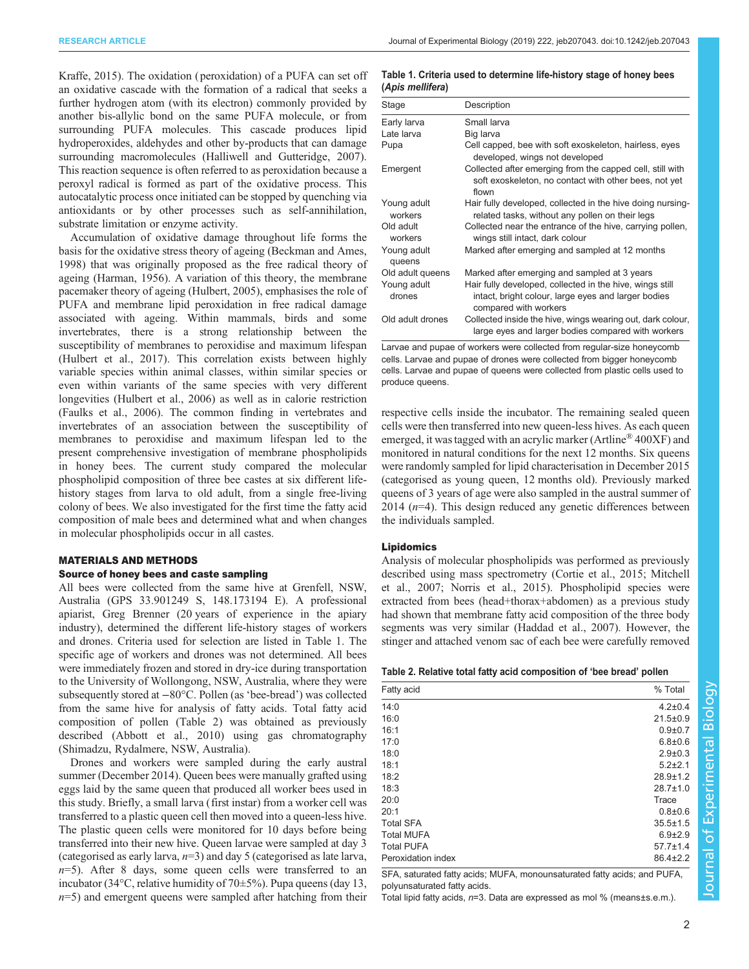<span id="page-1-0"></span>[Kraffe, 2015\)](#page-9-0). The oxidation ( peroxidation) of a PUFA can set off an oxidative cascade with the formation of a radical that seeks a further hydrogen atom (with its electron) commonly provided by another bis-allylic bond on the same PUFA molecule, or from surrounding PUFA molecules. This cascade produces lipid hydroperoxides, aldehydes and other by-products that can damage surrounding macromolecules [\(Halliwell and Gutteridge, 2007\)](#page-9-0). This reaction sequence is often referred to as peroxidation because a peroxyl radical is formed as part of the oxidative process. This autocatalytic process once initiated can be stopped by quenching via antioxidants or by other processes such as self-annihilation, substrate limitation or enzyme activity.

Accumulation of oxidative damage throughout life forms the basis for the oxidative stress theory of ageing ([Beckman and Ames,](#page-9-0) [1998](#page-9-0)) that was originally proposed as the free radical theory of ageing [\(Harman, 1956](#page-9-0)). A variation of this theory, the membrane pacemaker theory of ageing [\(Hulbert, 2005](#page-9-0)), emphasises the role of PUFA and membrane lipid peroxidation in free radical damage associated with ageing. Within mammals, birds and some invertebrates, there is a strong relationship between the susceptibility of membranes to peroxidise and maximum lifespan [\(Hulbert et al., 2017\)](#page-10-0). This correlation exists between highly variable species within animal classes, within similar species or even within variants of the same species with very different longevities [\(Hulbert et al., 2006\)](#page-9-0) as well as in calorie restriction [\(Faulks et al., 2006](#page-9-0)). The common finding in vertebrates and invertebrates of an association between the susceptibility of membranes to peroxidise and maximum lifespan led to the present comprehensive investigation of membrane phospholipids in honey bees. The current study compared the molecular phospholipid composition of three bee castes at six different lifehistory stages from larva to old adult, from a single free-living colony of bees. We also investigated for the first time the fatty acid composition of male bees and determined what and when changes in molecular phospholipids occur in all castes.

## MATERIALS AND METHODS

#### Source of honey bees and caste sampling

All bees were collected from the same hive at Grenfell, NSW, Australia (GPS 33.901249 S, 148.173194 E). A professional apiarist, Greg Brenner (20 years of experience in the apiary industry), determined the different life-history stages of workers and drones. Criteria used for selection are listed in Table 1. The specific age of workers and drones was not determined. All bees were immediately frozen and stored in dry-ice during transportation to the University of Wollongong, NSW, Australia, where they were subsequently stored at −80°C. Pollen (as 'bee-bread') was collected from the same hive for analysis of fatty acids. Total fatty acid composition of pollen (Table 2) was obtained as previously described ([Abbott et al., 2010](#page-9-0)) using gas chromatography (Shimadzu, Rydalmere, NSW, Australia).

Drones and workers were sampled during the early austral summer (December 2014). Queen bees were manually grafted using eggs laid by the same queen that produced all worker bees used in this study. Briefly, a small larva (first instar) from a worker cell was transferred to a plastic queen cell then moved into a queen-less hive. The plastic queen cells were monitored for 10 days before being transferred into their new hive. Queen larvae were sampled at day 3 (categorised as early larva,  $n=3$ ) and day 5 (categorised as late larva,  $n=5$ ). After 8 days, some queen cells were transferred to an incubator (34°C, relative humidity of 70±5%). Pupa queens (day 13,  $n=5$ ) and emergent queens were sampled after hatching from their

#### Table 1. Criteria used to determine life-history stage of honey bees (Apis mellifera)

| Stage                  | Description                                                                                                                              |
|------------------------|------------------------------------------------------------------------------------------------------------------------------------------|
| Early larva            | Small larva                                                                                                                              |
| Late larva             | Big larva                                                                                                                                |
| Pupa                   | Cell capped, bee with soft exoskeleton, hairless, eyes<br>developed, wings not developed                                                 |
| Emergent               | Collected after emerging from the capped cell, still with<br>soft exoskeleton, no contact with other bees, not yet<br>flown              |
| Young adult<br>workers | Hair fully developed, collected in the hive doing nursing-<br>related tasks, without any pollen on their legs                            |
| Old adult<br>workers   | Collected near the entrance of the hive, carrying pollen,<br>wings still intact, dark colour                                             |
| Young adult<br>queens  | Marked after emerging and sampled at 12 months                                                                                           |
| Old adult queens       | Marked after emerging and sampled at 3 years                                                                                             |
| Young adult<br>drones  | Hair fully developed, collected in the hive, wings still<br>intact, bright colour, large eyes and larger bodies<br>compared with workers |
| Old adult drones       | Collected inside the hive, wings wearing out, dark colour,<br>large eyes and larger bodies compared with workers                         |

Larvae and pupae of workers were collected from regular-size honeycomb cells. Larvae and pupae of drones were collected from bigger honeycomb cells. Larvae and pupae of queens were collected from plastic cells used to produce queens.

respective cells inside the incubator. The remaining sealed queen cells were then transferred into new queen-less hives. As each queen emerged, it was tagged with an acrylic marker (Artline® 400XF) and monitored in natural conditions for the next 12 months. Six queens were randomly sampled for lipid characterisation in December 2015 (categorised as young queen, 12 months old). Previously marked queens of 3 years of age were also sampled in the austral summer of  $2014$  ( $n=4$ ). This design reduced any genetic differences between the individuals sampled.

#### Lipidomics

Analysis of molecular phospholipids was performed as previously described using mass spectrometry [\(Cortie et al., 2015;](#page-9-0) [Mitchell](#page-10-0) [et al., 2007; Norris et al., 2015\)](#page-10-0). Phospholipid species were extracted from bees (head+thorax+abdomen) as a previous study had shown that membrane fatty acid composition of the three body segments was very similar [\(Haddad et al., 2007](#page-9-0)). However, the stinger and attached venom sac of each bee were carefully removed

| Fatty acid         | % Total        |
|--------------------|----------------|
| 14:0               | $4.2 \pm 0.4$  |
| 16:0               | $21.5 \pm 0.9$ |
| 16:1               | $0.9 + 0.7$    |
| 17:0               | $6.8 \pm 0.6$  |
| 18:0               | $2.9 \pm 0.3$  |
| 18:1               | $5.2 + 2.1$    |
| 18:2               | $28.9 \pm 1.2$ |
| 18:3               | $28.7 \pm 1.0$ |
| 20:0               | Trace          |
| 20:1               | $0.8 + 0.6$    |
| <b>Total SFA</b>   | $35.5 \pm 1.5$ |
| <b>Total MUFA</b>  | $6.9{\pm}2.9$  |
| <b>Total PUFA</b>  | $57.7 \pm 1.4$ |
| Peroxidation index | $86.4 \pm 2.2$ |

SFA, saturated fatty acids; MUFA, monounsaturated fatty acids; and PUFA, polyunsaturated fatty acids.

Total lipid fatty acids, n=3. Data are expressed as mol % (means±s.e.m.).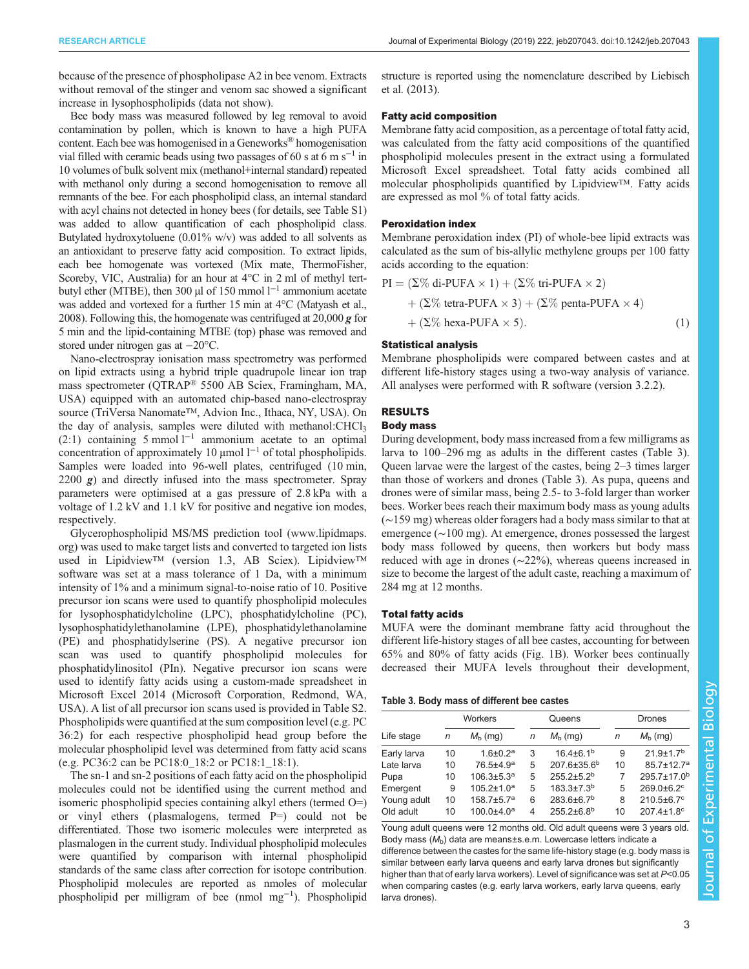<span id="page-2-0"></span>because of the presence of phospholipase A2 in bee venom. Extracts without removal of the stinger and venom sac showed a significant increase in lysophospholipids (data not show).

Bee body mass was measured followed by leg removal to avoid contamination by pollen, which is known to have a high PUFA content. Each bee was homogenised in a Geneworks® homogenisation vial filled with ceramic beads using two passages of 60 s at 6 m s<sup> $-1$ </sup> in 10 volumes of bulk solvent mix (methanol+internal standard) repeated with methanol only during a second homogenisation to remove all remnants of the bee. For each phospholipid class, an internal standard with acyl chains not detected in honey bees (for details, see [Table S1\)](http://jeb.biologists.org/lookup/doi/10.1242/jeb.207043.supplemental) was added to allow quantification of each phospholipid class. Butylated hydroxytoluene  $(0.01\% \text{ w/v})$  was added to all solvents as an antioxidant to preserve fatty acid composition. To extract lipids, each bee homogenate was vortexed (Mix mate, ThermoFisher, Scoreby, VIC, Australia) for an hour at  $4^{\circ}$ C in 2 ml of methyl tertbutyl ether (MTBE), then 300 µl of 150 mmol l−<sup>1</sup> ammonium acetate was added and vortexed for a further 15 min at 4°C ([Matyash et al.,](#page-10-0) [2008](#page-10-0)). Following this, the homogenate was centrifuged at  $20,000 \, \text{g}$  for 5 min and the lipid-containing MTBE (top) phase was removed and stored under nitrogen gas at −20°C.

Nano-electrospray ionisation mass spectrometry was performed on lipid extracts using a hybrid triple quadrupole linear ion trap mass spectrometer (QTRAP® 5500 AB Sciex, Framingham, MA, USA) equipped with an automated chip-based nano-electrospray source (TriVersa Nanomate™, Advion Inc., Ithaca, NY, USA). On the day of analysis, samples were diluted with methanol: $CHCl<sub>3</sub>$ (2:1) containing 5 mmol  $l^{-1}$  ammonium acetate to an optimal concentration of approximately 10 µmol l−<sup>1</sup> of total phospholipids. Samples were loaded into 96-well plates, centrifuged (10 min, 2200  $g$ ) and directly infused into the mass spectrometer. Spray parameters were optimised at a gas pressure of 2.8 kPa with a voltage of 1.2 kV and 1.1 kV for positive and negative ion modes, respectively.

Glycerophospholipid MS/MS prediction tool ([www.lipidmaps.](http://www.lipidmaps.org) [org\)](http://www.lipidmaps.org) was used to make target lists and converted to targeted ion lists used in Lipidview™ (version 1.3, AB Sciex). Lipidview™ software was set at a mass tolerance of 1 Da, with a minimum intensity of 1% and a minimum signal-to-noise ratio of 10. Positive precursor ion scans were used to quantify phospholipid molecules for lysophosphatidylcholine (LPC), phosphatidylcholine (PC), lysophosphatidylethanolamine (LPE), phosphatidylethanolamine (PE) and phosphatidylserine (PS). A negative precursor ion scan was used to quantify phospholipid molecules for phosphatidylinositol (PIn). Negative precursor ion scans were used to identify fatty acids using a custom-made spreadsheet in Microsoft Excel 2014 (Microsoft Corporation, Redmond, WA, USA). A list of all precursor ion scans used is provided in [Table S2.](http://jeb.biologists.org/lookup/doi/10.1242/jeb.207043.supplemental) Phospholipids were quantified at the sum composition level (e.g. PC 36:2) for each respective phospholipid head group before the molecular phospholipid level was determined from fatty acid scans (e.g. PC36:2 can be PC18:0\_18:2 or PC18:1\_18:1).

The sn-1 and sn-2 positions of each fatty acid on the phospholipid molecules could not be identified using the current method and isomeric phospholipid species containing alkyl ethers (termed O=) or vinyl ethers (plasmalogens, termed  $P=$ ) could not be differentiated. Those two isomeric molecules were interpreted as plasmalogen in the current study. Individual phospholipid molecules were quantified by comparison with internal phospholipid standards of the same class after correction for isotope contribution. Phospholipid molecules are reported as nmoles of molecular phospholipid per milligram of bee (nmol mg−<sup>1</sup> ). Phospholipid

structure is reported using the nomenclature described by [Liebisch](#page-10-0) [et al. \(2013\)](#page-10-0).

#### Fatty acid composition

Membrane fatty acid composition, as a percentage of total fatty acid, was calculated from the fatty acid compositions of the quantified phospholipid molecules present in the extract using a formulated Microsoft Excel spreadsheet. Total fatty acids combined all molecular phospholipids quantified by Lipidview™. Fatty acids are expressed as mol % of total fatty acids.

## Peroxidation index

Membrane peroxidation index (PI) of whole-bee lipid extracts was calculated as the sum of bis-allylic methylene groups per 100 fatty acids according to the equation:

PI = 
$$
(\Sigma\% \text{ di-PUFA} \times 1) + (\Sigma\% \text{ tri-PUFA} \times 2)
$$
  
+  $(\Sigma\% \text{ tetra-PUFA} \times 3) + (\Sigma\% \text{ penta-PUFA} \times 4)$   
+  $(\Sigma\% \text{ hexa-PUFA} \times 5).$  (1)

#### Statistical analysis

Membrane phospholipids were compared between castes and at different life-history stages using a two-way analysis of variance. All analyses were performed with R software (version 3.2.2).

## RESULTS

## Body mass

During development, body mass increased from a few milligrams as larva to 100–296 mg as adults in the different castes (Table 3). Queen larvae were the largest of the castes, being 2–3 times larger than those of workers and drones (Table 3). As pupa, queens and drones were of similar mass, being 2.5- to 3-fold larger than worker bees. Worker bees reach their maximum body mass as young adults (∼159 mg) whereas older foragers had a body mass similar to that at emergence (∼100 mg). At emergence, drones possessed the largest body mass followed by queens, then workers but body mass reduced with age in drones (∼22%), whereas queens increased in size to become the largest of the adult caste, reaching a maximum of 284 mg at 12 months.

#### Total fatty acids

MUFA were the dominant membrane fatty acid throughout the different life-history stages of all bee castes, accounting for between 65% and 80% of fatty acids ([Fig. 1](#page-3-0)B). Worker bees continually decreased their MUFA levels throughout their development,

#### Table 3. Body mass of different bee castes

|             | Workers |                              | Queens |                              |    | Drones                       |  |
|-------------|---------|------------------------------|--------|------------------------------|----|------------------------------|--|
| Life stage  | n       | $M_h$ (mg)                   | n      | $M_h$ (mg)                   | n  | $M_h$ (mg)                   |  |
| Early larva | 10      | $1.6 \pm 0.2^a$              | 3      | $16.4\pm6.1^{b}$             | 9  | $21.9 \pm 1.7$ <sup>b</sup>  |  |
| Late larva  | 10      | 76.5±4.9 <sup>a</sup>        | 5      | $207.6 \pm 35.6^b$           | 10 | $85.7 \pm 12.7$ <sup>a</sup> |  |
| Pupa        | 10      | $106.3 \pm 5.3$ <sup>a</sup> | 5      | $255.2 \pm 5.2$ <sup>b</sup> | 7  | 295.7±17.0 <sup>b</sup>      |  |
| Emergent    | 9       | $105.2 \pm 1.0$ <sup>a</sup> | 5      | $183.3 \pm 7.3^b$            | 5  | $269.0 \pm 6.2$ <sup>c</sup> |  |
| Young adult | 10      | $158.7 \pm 5.7$ <sup>a</sup> | 6      | $283.6\pm6.7^{b}$            | 8  | $210.5\pm 6.7^{\circ}$       |  |
| Old adult   | 10      | $100.0 + 4.0a$               | 4      | $255.2\pm6.8^{b}$            | 10 | $207.4 \pm 1.8$ <sup>c</sup> |  |
|             |         |                              |        |                              |    |                              |  |

Young adult queens were 12 months old. Old adult queens were 3 years old. Body mass  $(M_b)$  data are means±s.e.m. Lowercase letters indicate a difference between the castes for the same life-history stage (e.g. body mass is similar between early larva queens and early larva drones but significantly higher than that of early larva workers). Level of significance was set at P<0.05 when comparing castes (e.g. early larva workers, early larva queens, early larva drones).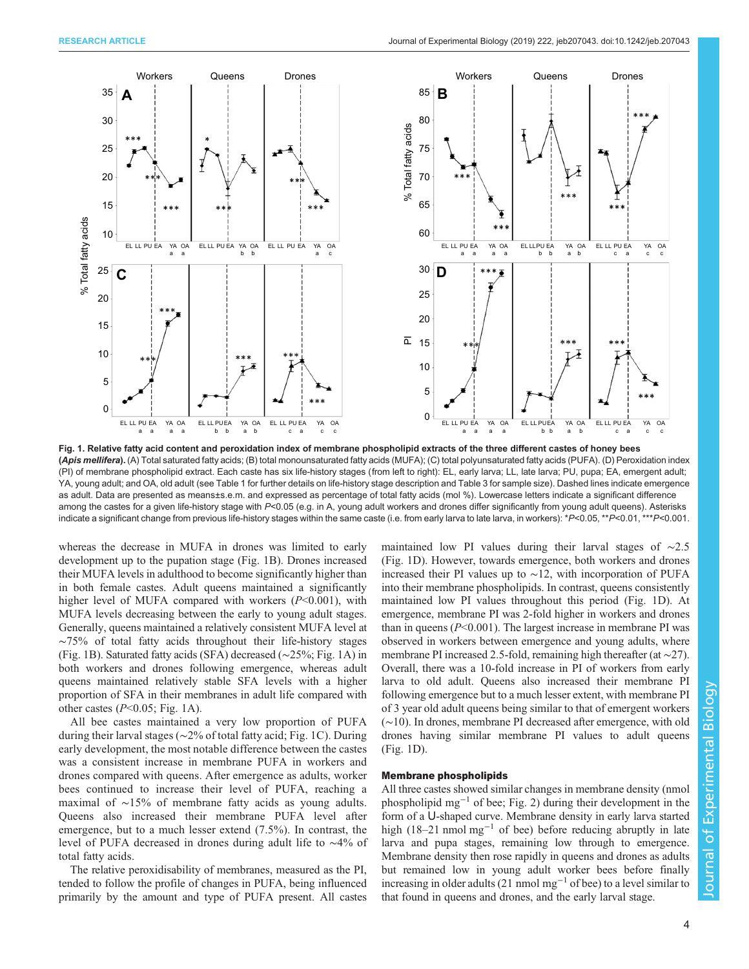<span id="page-3-0"></span>

Fig. 1. Relative fatty acid content and peroxidation index of membrane phospholipid extracts of the three different castes of honey bees (Apis mellifera). (A) Total saturated fatty acids; (B) total monounsaturated fatty acids (MUFA); (C) total polyunsaturated fatty acids (PUFA). (D) Peroxidation index (PI) of membrane phospholipid extract. Each caste has six life-history stages (from left to right): EL, early larva; LL, late larva; PU, pupa; EA, emergent adult; YA, young adult; and OA, old adult (see [Table 1](#page-1-0) for further details on life-history stage description and [Table 3](#page-2-0) for sample size). Dashed lines indicate emergence as adult. Data are presented as means±s.e.m. and expressed as percentage of total fatty acids (mol %). Lowercase letters indicate a significant difference among the castes for a given life-history stage with P<0.05 (e.g. in A, young adult workers and drones differ significantly from young adult queens). Asterisks indicate a significant change from previous life-history stages within the same caste (i.e. from early larva to late larva, in workers): \*P<0.05, \*\*P<0.01, \*\*\*P<0.001.

whereas the decrease in MUFA in drones was limited to early development up to the pupation stage (Fig. 1B). Drones increased their MUFA levels in adulthood to become significantly higher than in both female castes. Adult queens maintained a significantly higher level of MUFA compared with workers  $(P<0.001)$ , with MUFA levels decreasing between the early to young adult stages. Generally, queens maintained a relatively consistent MUFA level at ∼75% of total fatty acids throughout their life-history stages (Fig. 1B). Saturated fatty acids (SFA) decreased (∼25%; Fig. 1A) in both workers and drones following emergence, whereas adult queens maintained relatively stable SFA levels with a higher proportion of SFA in their membranes in adult life compared with other castes  $(P<0.05;$  Fig. 1A).

All bee castes maintained a very low proportion of PUFA during their larval stages (∼2% of total fatty acid; Fig. 1C). During early development, the most notable difference between the castes was a consistent increase in membrane PUFA in workers and drones compared with queens. After emergence as adults, worker bees continued to increase their level of PUFA, reaching a maximal of ∼15% of membrane fatty acids as young adults. Queens also increased their membrane PUFA level after emergence, but to a much lesser extend (7.5%). In contrast, the level of PUFA decreased in drones during adult life to ∼4% of total fatty acids.

The relative peroxidisability of membranes, measured as the PI, tended to follow the profile of changes in PUFA, being influenced primarily by the amount and type of PUFA present. All castes maintained low PI values during their larval stages of ∼2.5 (Fig. 1D). However, towards emergence, both workers and drones increased their PI values up to ∼12, with incorporation of PUFA into their membrane phospholipids. In contrast, queens consistently maintained low PI values throughout this period (Fig. 1D). At emergence, membrane PI was 2-fold higher in workers and drones than in queens  $(P<0.001)$ . The largest increase in membrane PI was observed in workers between emergence and young adults, where membrane PI increased 2.5-fold, remaining high thereafter (at ∼27). Overall, there was a 10-fold increase in PI of workers from early larva to old adult. Queens also increased their membrane PI following emergence but to a much lesser extent, with membrane PI of 3 year old adult queens being similar to that of emergent workers (∼10). In drones, membrane PI decreased after emergence, with old drones having similar membrane PI values to adult queens (Fig. 1D).

## Membrane phospholipids

All three castes showed similar changes in membrane density (nmol phospholipid mg−<sup>1</sup> of bee; [Fig. 2](#page-4-0)) during their development in the form of a U-shaped curve. Membrane density in early larva started high (18–21 nmol mg<sup>-1</sup> of bee) before reducing abruptly in late larva and pupa stages, remaining low through to emergence. Membrane density then rose rapidly in queens and drones as adults but remained low in young adult worker bees before finally increasing in older adults (21 nmol mg<sup>-1</sup> of bee) to a level similar to that found in queens and drones, and the early larval stage.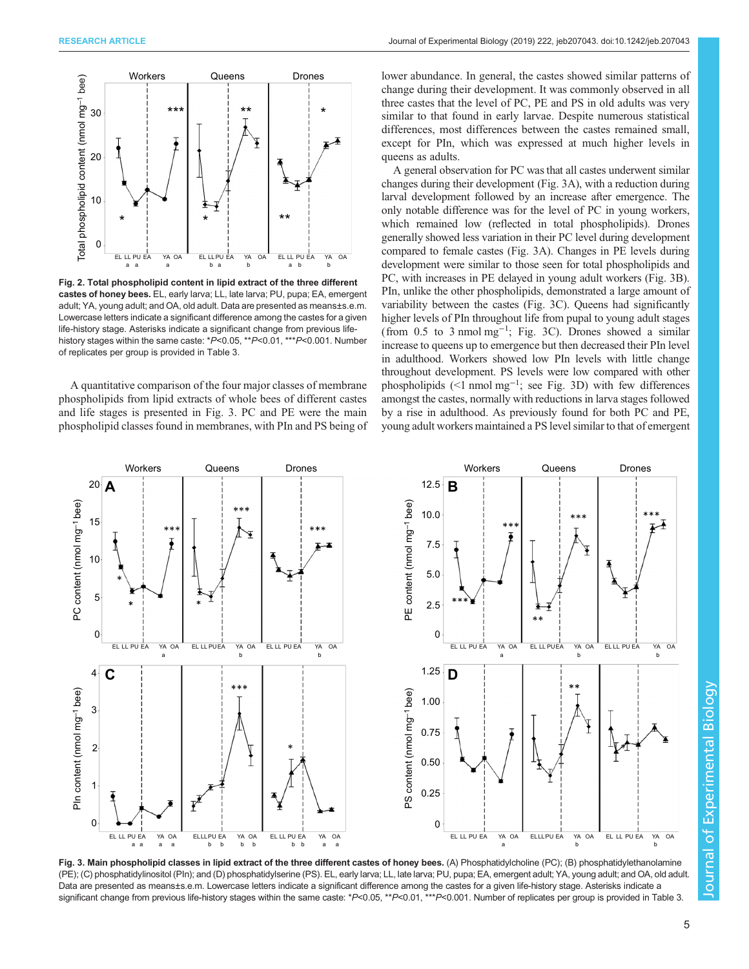<span id="page-4-0"></span>

Fig. 2. Total phospholipid content in lipid extract of the three different castes of honey bees. EL, early larva; LL, late larva; PU, pupa; EA, emergent adult; YA, young adult; and OA, old adult. Data are presented as means±s.e.m. Lowercase letters indicate a significant difference among the castes for a given life-history stage. Asterisks indicate a significant change from previous lifehistory stages within the same caste: \*P<0.05, \*\*P<0.01, \*\*\*P<0.001. Number of replicates per group is provided in [Table 3](#page-2-0).

A quantitative comparison of the four major classes of membrane phospholipids from lipid extracts of whole bees of different castes and life stages is presented in Fig. 3. PC and PE were the main phospholipid classes found in membranes, with PIn and PS being of lower abundance. In general, the castes showed similar patterns of change during their development. It was commonly observed in all three castes that the level of PC, PE and PS in old adults was very similar to that found in early larvae. Despite numerous statistical differences, most differences between the castes remained small, except for PIn, which was expressed at much higher levels in queens as adults.

A general observation for PC was that all castes underwent similar changes during their development (Fig. 3A), with a reduction during larval development followed by an increase after emergence. The only notable difference was for the level of PC in young workers, which remained low (reflected in total phospholipids). Drones generally showed less variation in their PC level during development compared to female castes (Fig. 3A). Changes in PE levels during development were similar to those seen for total phospholipids and PC, with increases in PE delayed in young adult workers (Fig. 3B). PIn, unlike the other phospholipids, demonstrated a large amount of variability between the castes (Fig. 3C). Queens had significantly higher levels of PIn throughout life from pupal to young adult stages (from 0.5 to 3 nmol mg−<sup>1</sup> ; Fig. 3C). Drones showed a similar increase to queens up to emergence but then decreased their PIn level in adulthood. Workers showed low PIn levels with little change throughout development. PS levels were low compared with other phospholipids (<1 nmol mg<sup>-1</sup>; see Fig. 3D) with few differences amongst the castes, normally with reductions in larva stages followed by a rise in adulthood. As previously found for both PC and PE, young adult workers maintained a PS level similar to that of emergent



Fig. 3. Main phospholipid classes in lipid extract of the three different castes of honey bees. (A) Phosphatidylcholine (PC); (B) phosphatidylethanolamine (PE); (C) phosphatidylinositol (PIn); and (D) phosphatidylserine (PS). EL, early larva; LL, late larva; PU, pupa; EA, emergent adult; YA, young adult; and OA, old adult. Data are presented as means±s.e.m. Lowercase letters indicate a significant difference among the castes for a given life-history stage. Asterisks indicate a significant change from previous life-history stages within the same caste: \*P<0.05, \*\*P<0.01, \*\*\*P<0.001. Number of replicates per group is provided in [Table 3](#page-2-0).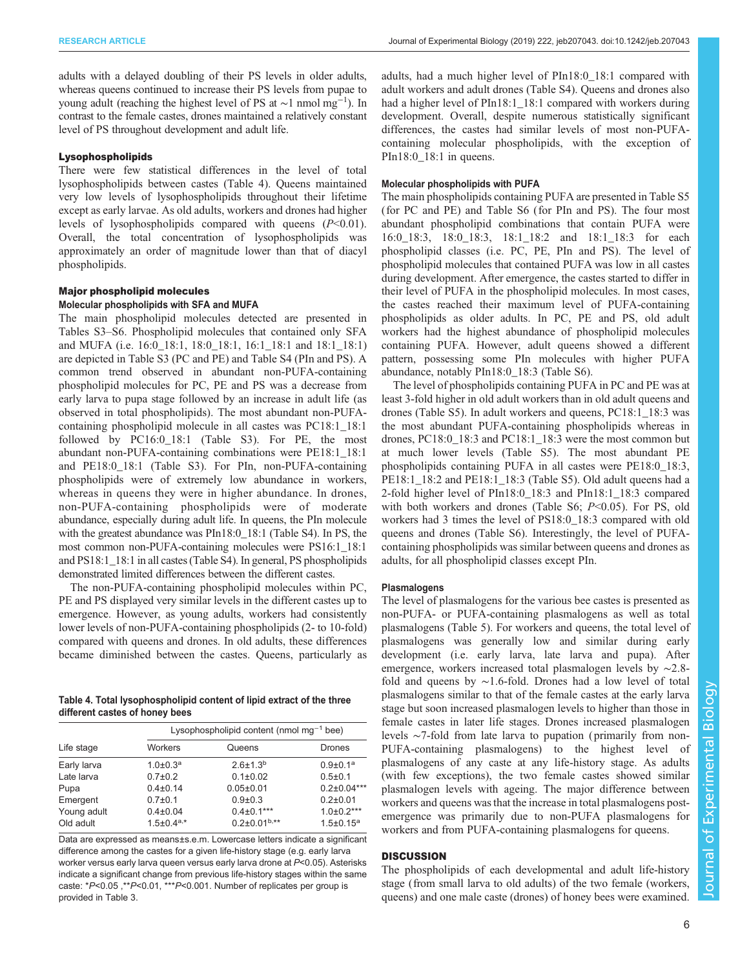adults with a delayed doubling of their PS levels in older adults, whereas queens continued to increase their PS levels from pupae to young adult (reaching the highest level of PS at ∼1 nmol mg−<sup>1</sup> ). In contrast to the female castes, drones maintained a relatively constant level of PS throughout development and adult life.

#### Lysophospholipids

There were few statistical differences in the level of total lysophospholipids between castes (Table 4). Queens maintained very low levels of lysophospholipids throughout their lifetime except as early larvae. As old adults, workers and drones had higher levels of lysophospholipids compared with queens  $(P<0.01)$ . Overall, the total concentration of lysophospholipids was approximately an order of magnitude lower than that of diacyl phospholipids.

# Major phospholipid molecules

## Molecular phospholipids with SFA and MUFA

The main phospholipid molecules detected are presented in [Tables S3](http://jeb.biologists.org/lookup/doi/10.1242/jeb.207043.supplemental)–S6. Phospholipid molecules that contained only SFA and MUFA (*i.e.* 16:0\_18:1, 18:0\_18:1, 16:1\_18:1 and 18:1\_18:1) are depicted in [Table S3](http://jeb.biologists.org/lookup/doi/10.1242/jeb.207043.supplemental) (PC and PE) and [Table S4](http://jeb.biologists.org/lookup/doi/10.1242/jeb.207043.supplemental) (PIn and PS). A common trend observed in abundant non-PUFA-containing phospholipid molecules for PC, PE and PS was a decrease from early larva to pupa stage followed by an increase in adult life (as observed in total phospholipids). The most abundant non-PUFAcontaining phospholipid molecule in all castes was PC18:1\_18:1 followed by PC16:0\_18:1 ([Table S3\)](http://jeb.biologists.org/lookup/doi/10.1242/jeb.207043.supplemental). For PE, the most abundant non-PUFA-containing combinations were PE18:1\_18:1 and PE18:0\_18:1 [\(Table S3\)](http://jeb.biologists.org/lookup/doi/10.1242/jeb.207043.supplemental). For PIn, non-PUFA-containing phospholipids were of extremely low abundance in workers, whereas in queens they were in higher abundance. In drones, non-PUFA-containing phospholipids were of moderate abundance, especially during adult life. In queens, the PIn molecule with the greatest abundance was PIn18:0\_18:1 [\(Table S4](http://jeb.biologists.org/lookup/doi/10.1242/jeb.207043.supplemental)). In PS, the most common non-PUFA-containing molecules were PS16:1\_18:1 and PS18:1\_18:1 in all castes ([Table S4\)](http://jeb.biologists.org/lookup/doi/10.1242/jeb.207043.supplemental). In general, PS phospholipids demonstrated limited differences between the different castes.

The non-PUFA-containing phospholipid molecules within PC, PE and PS displayed very similar levels in the different castes up to emergence. However, as young adults, workers had consistently lower levels of non-PUFA-containing phospholipids (2- to 10-fold) compared with queens and drones. In old adults, these differences became diminished between the castes. Queens, particularly as

Table 4. Total lysophospholipid content of lipid extract of the three different castes of honey bees

|             | Lysophospholipid content (nmol mg <sup>-1</sup> bee) |                     |                            |  |
|-------------|------------------------------------------------------|---------------------|----------------------------|--|
| Life stage  | <b>Workers</b>                                       | Queens              | <b>Drones</b>              |  |
| Early larva | $1.0 \pm 0.3^a$                                      | $2.6 \pm 1.3^{b}$   | $0.9 \pm 0.1$ <sup>a</sup> |  |
| Late larva  | $0.7 \pm 0.2$                                        | $0.1 \pm 0.02$      | $0.5 \pm 0.1$              |  |
| Pupa        | $0.4 \pm 0.14$                                       | $0.05 \pm 0.01$     | $0.2\pm0.04***$            |  |
| Emergent    | $0.7 + 0.1$                                          | $0.9 + 0.3$         | $0.2 + 0.01$               |  |
| Young adult | $0.4 \pm 0.04$                                       | $0.4 \pm 0.1***$    | $1.0 \pm 0.2***$           |  |
| Old adult   | $1.5 \pm 0.4$ <sup>a,*</sup>                         | $0.2\pm0.01^{b,**}$ | $1.5 \pm 0.15^a$           |  |

Data are expressed as means±s.e.m. Lowercase letters indicate a significant difference among the castes for a given life-history stage (e.g. early larva worker versus early larva queen versus early larva drone at P<0.05). Asterisks indicate a significant change from previous life-history stages within the same caste: \*P<0.05 ,\*\*P<0.01, \*\*\*P<0.001. Number of replicates per group is provided in [Table 3.](#page-2-0)

adults, had a much higher level of PIn18:0\_18:1 compared with adult workers and adult drones [\(Table S4](http://jeb.biologists.org/lookup/doi/10.1242/jeb.207043.supplemental)). Queens and drones also had a higher level of PIn18:1 18:1 compared with workers during development. Overall, despite numerous statistically significant differences, the castes had similar levels of most non-PUFAcontaining molecular phospholipids, with the exception of PIn18:0\_18:1 in queens.

#### Molecular phospholipids with PUFA

The main phospholipids containing PUFA are presented in [Table S5](http://jeb.biologists.org/lookup/doi/10.1242/jeb.207043.supplemental) (for PC and PE) and [Table S6](http://jeb.biologists.org/lookup/doi/10.1242/jeb.207043.supplemental) (for PIn and PS). The four most abundant phospholipid combinations that contain PUFA were 16:0\_18:3, 18:0\_18:3, 18:1\_18:2 and 18:1\_18:3 for each phospholipid classes (i.e. PC, PE, PIn and PS). The level of phospholipid molecules that contained PUFA was low in all castes during development. After emergence, the castes started to differ in their level of PUFA in the phospholipid molecules. In most cases, the castes reached their maximum level of PUFA-containing phospholipids as older adults. In PC, PE and PS, old adult workers had the highest abundance of phospholipid molecules containing PUFA. However, adult queens showed a different pattern, possessing some PIn molecules with higher PUFA abundance, notably PIn18:0\_18:3 ([Table S6\)](http://jeb.biologists.org/lookup/doi/10.1242/jeb.207043.supplemental).

The level of phospholipids containing PUFA in PC and PE was at least 3-fold higher in old adult workers than in old adult queens and drones ([Table S5](http://jeb.biologists.org/lookup/doi/10.1242/jeb.207043.supplemental)). In adult workers and queens, PC18:1\_18:3 was the most abundant PUFA-containing phospholipids whereas in drones, PC18:0\_18:3 and PC18:1\_18:3 were the most common but at much lower levels ([Table S5\)](http://jeb.biologists.org/lookup/doi/10.1242/jeb.207043.supplemental). The most abundant PE phospholipids containing PUFA in all castes were PE18:0\_18:3, PE18:1\_18:2 and PE18:1\_18:3 [\(Table S5\)](http://jeb.biologists.org/lookup/doi/10.1242/jeb.207043.supplemental). Old adult queens had a 2-fold higher level of PIn18:0\_18:3 and PIn18:1\_18:3 compared with both workers and drones [\(Table S6;](http://jeb.biologists.org/lookup/doi/10.1242/jeb.207043.supplemental)  $P<0.05$ ). For PS, old workers had 3 times the level of PS18:0\_18:3 compared with old queens and drones [\(Table S6](http://jeb.biologists.org/lookup/doi/10.1242/jeb.207043.supplemental)). Interestingly, the level of PUFAcontaining phospholipids was similar between queens and drones as adults, for all phospholipid classes except PIn.

### Plasmalogens

The level of plasmalogens for the various bee castes is presented as non-PUFA- or PUFA-containing plasmalogens as well as total plasmalogens [\(Table 5\)](#page-6-0). For workers and queens, the total level of plasmalogens was generally low and similar during early development (i.e. early larva, late larva and pupa). After emergence, workers increased total plasmalogen levels by ∼2.8 fold and queens by ∼1.6-fold. Drones had a low level of total plasmalogens similar to that of the female castes at the early larva stage but soon increased plasmalogen levels to higher than those in female castes in later life stages. Drones increased plasmalogen levels ∼7-fold from late larva to pupation ( primarily from non-PUFA-containing plasmalogens) to the highest level of plasmalogens of any caste at any life-history stage. As adults (with few exceptions), the two female castes showed similar plasmalogen levels with ageing. The major difference between workers and queens was that the increase in total plasmalogens postemergence was primarily due to non-PUFA plasmalogens for workers and from PUFA-containing plasmalogens for queens.

## **DISCUSSION**

The phospholipids of each developmental and adult life-history stage (from small larva to old adults) of the two female (workers, queens) and one male caste (drones) of honey bees were examined.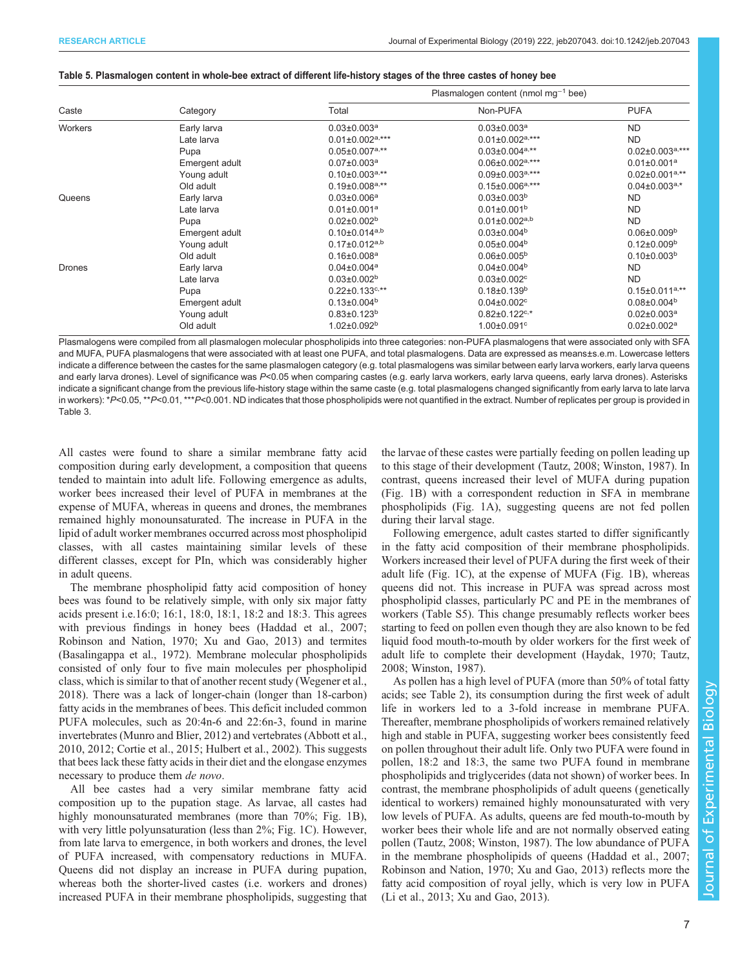#### <span id="page-6-0"></span>Table 5. Plasmalogen content in whole-bee extract of different life-history stages of the three castes of honey bee

| Caste         |                | Plasmalogen content (nmol mg <sup>-1</sup> bee) |                                   |                               |  |
|---------------|----------------|-------------------------------------------------|-----------------------------------|-------------------------------|--|
|               | Category       | Total                                           | Non-PUFA                          | <b>PUFA</b>                   |  |
| Workers       | Early larva    | $0.03 \pm 0.003$ <sup>a</sup>                   | $0.03 \pm 0.003$ <sup>a</sup>     | <b>ND</b>                     |  |
|               | Late larva     | $0.01 \pm 0.002$ <sup>a,***</sup>               | $0.01 \pm 0.002^{a,***}$          | <b>ND</b>                     |  |
|               | Pupa           | $0.05 \pm 0.007$ a,**                           | $0.03 \pm 0.004$ a,**             | $0.02 \pm 0.003^{a,***}$      |  |
|               | Emergent adult | $0.07 \pm 0.003$ <sup>a</sup>                   | $0.06 \pm 0.002$ <sup>a,***</sup> | $0.01 \pm 0.001$ <sup>a</sup> |  |
|               | Young adult    | $0.10\pm0.003^{a,**}$                           | $0.09 \pm 0.003^{a,***}$          | $0.02 \pm 0.001^{a, **}$      |  |
|               | Old adult      | $0.19 \pm 0.008$ a,**                           | $0.15 \pm 0.006^{a,***}$          | $0.04\pm0.003^{a,*}$          |  |
| Queens        | Early larva    | $0.03 \pm 0.006$ <sup>a</sup>                   | $0.03 \pm 0.003^b$                | <b>ND</b>                     |  |
|               | Late larva     | $0.01 \pm 0.001$ <sup>a</sup>                   | $0.01 \pm 0.001^b$                | <b>ND</b>                     |  |
|               | Pupa           | $0.02 \pm 0.002$ <sup>b</sup>                   | $0.01 \pm 0.002$ <sup>a,b</sup>   | <b>ND</b>                     |  |
|               | Emergent adult | $0.10\pm0.014^{a,b}$                            | $0.03 \pm 0.004^b$                | $0.06 \pm 0.009^b$            |  |
|               | Young adult    | $0.17 \pm 0.012^{a,b}$                          | $0.05 \pm 0.004^b$                | $0.12 \pm 0.009^b$            |  |
|               | Old adult      | $0.16 \pm 0.008$ <sup>a</sup>                   | $0.06 \pm 0.005^b$                | $0.10\pm0.003^{b}$            |  |
| <b>Drones</b> | Early larva    | $0.04 \pm 0.004$ <sup>a</sup>                   | $0.04 \pm 0.004$ <sup>b</sup>     | <b>ND</b>                     |  |
|               | Late larva     | $0.03 \pm 0.002^b$                              | $0.03 \pm 0.002$ <sup>c</sup>     | <b>ND</b>                     |  |
|               | Pupa           | $0.22 \pm 0.133$ <sup>c,**</sup>                | $0.18 \pm 0.139^b$                | $0.15 \pm 0.011^{a,**}$       |  |
|               | Emergent adult | $0.13 \pm 0.004$ <sup>b</sup>                   | $0.04 \pm 0.002$ <sup>c</sup>     | $0.08 \pm 0.004^b$            |  |
|               | Young adult    | $0.83 \pm 0.123^b$                              | $0.82 \pm 0.122$ <sup>c,*</sup>   | $0.02 \pm 0.003^a$            |  |
|               | Old adult      | $1.02 \pm 0.092$ <sup>b</sup>                   | $1.00 \pm 0.091$ <sup>c</sup>     | $0.02 \pm 0.002$ <sup>a</sup> |  |

Plasmalogens were compiled from all plasmalogen molecular phospholipids into three categories: non-PUFA plasmalogens that were associated only with SFA and MUFA, PUFA plasmalogens that were associated with at least one PUFA, and total plasmalogens. Data are expressed as means±s.e.m. Lowercase letters indicate a difference between the castes for the same plasmalogen category (e.g. total plasmalogens was similar between early larva workers, early larva queens and early larva drones). Level of significance was P<0.05 when comparing castes (e.g. early larva workers, early larva queens, early larva drones). Asterisks indicate a significant change from the previous life-history stage within the same caste (e.g. total plasmalogens changed significantly from early larva to late larva in workers):  $*P<0.05$ ,  $*P<0.01$ ,  $**P<0.001$ . ND indicates that those phospholipids were not quantified in the extract. Number of replicates per group is provided in [Table 3.](#page-2-0)

All castes were found to share a similar membrane fatty acid composition during early development, a composition that queens tended to maintain into adult life. Following emergence as adults, worker bees increased their level of PUFA in membranes at the expense of MUFA, whereas in queens and drones, the membranes remained highly monounsaturated. The increase in PUFA in the lipid of adult worker membranes occurred across most phospholipid classes, with all castes maintaining similar levels of these different classes, except for PIn, which was considerably higher in adult queens.

The membrane phospholipid fatty acid composition of honey bees was found to be relatively simple, with only six major fatty acids present i.e.16:0; 16:1, 18:0, 18:1, 18:2 and 18:3. This agrees with previous findings in honey bees [\(Haddad et al., 2007](#page-9-0); [Robinson and Nation, 1970](#page-10-0); [Xu and Gao, 2013](#page-10-0)) and termites [\(Basalingappa et al., 1972](#page-9-0)). Membrane molecular phospholipids consisted of only four to five main molecules per phospholipid class, which is similar to that of another recent study ([Wegener et al.,](#page-10-0) [2018](#page-10-0)). There was a lack of longer-chain (longer than 18-carbon) fatty acids in the membranes of bees. This deficit included common PUFA molecules, such as 20:4n-6 and 22:6n-3, found in marine invertebrates ([Munro and Blier, 2012\)](#page-10-0) and vertebrates ([Abbott et al.,](#page-9-0) [2010](#page-9-0), [2012; Cortie et al., 2015](#page-9-0); [Hulbert et al., 2002](#page-9-0)). This suggests that bees lack these fatty acids in their diet and the elongase enzymes necessary to produce them de novo.

All bee castes had a very similar membrane fatty acid composition up to the pupation stage. As larvae, all castes had highly monounsaturated membranes (more than 70%; [Fig. 1](#page-3-0)B), with very little polyunsaturation (less than 2%; [Fig. 1](#page-3-0)C). However, from late larva to emergence, in both workers and drones, the level of PUFA increased, with compensatory reductions in MUFA. Queens did not display an increase in PUFA during pupation, whereas both the shorter-lived castes (i.e. workers and drones) increased PUFA in their membrane phospholipids, suggesting that the larvae of these castes were partially feeding on pollen leading up to this stage of their development [\(Tautz, 2008](#page-10-0); [Winston, 1987](#page-10-0)). In contrast, queens increased their level of MUFA during pupation [\(Fig. 1](#page-3-0)B) with a correspondent reduction in SFA in membrane phospholipids ([Fig. 1A](#page-3-0)), suggesting queens are not fed pollen during their larval stage.

Following emergence, adult castes started to differ significantly in the fatty acid composition of their membrane phospholipids. Workers increased their level of PUFA during the first week of their adult life [\(Fig. 1](#page-3-0)C), at the expense of MUFA ([Fig. 1](#page-3-0)B), whereas queens did not. This increase in PUFA was spread across most phospholipid classes, particularly PC and PE in the membranes of workers [\(Table S5\)](http://jeb.biologists.org/lookup/doi/10.1242/jeb.207043.supplemental). This change presumably reflects worker bees starting to feed on pollen even though they are also known to be fed liquid food mouth-to-mouth by older workers for the first week of adult life to complete their development ([Haydak, 1970;](#page-9-0) [Tautz,](#page-10-0) [2008; Winston, 1987\)](#page-10-0).

As pollen has a high level of PUFA (more than 50% of total fatty acids; see [Table 2](#page-1-0)), its consumption during the first week of adult life in workers led to a 3-fold increase in membrane PUFA. Thereafter, membrane phospholipids of workers remained relatively high and stable in PUFA, suggesting worker bees consistently feed on pollen throughout their adult life. Only two PUFA were found in pollen, 18:2 and 18:3, the same two PUFA found in membrane phospholipids and triglycerides (data not shown) of worker bees. In contrast, the membrane phospholipids of adult queens (genetically identical to workers) remained highly monounsaturated with very low levels of PUFA. As adults, queens are fed mouth-to-mouth by worker bees their whole life and are not normally observed eating pollen [\(Tautz, 2008; Winston, 1987](#page-10-0)). The low abundance of PUFA in the membrane phospholipids of queens [\(Haddad et al., 2007](#page-9-0); [Robinson and Nation, 1970; Xu and Gao, 2013](#page-10-0)) reflects more the fatty acid composition of royal jelly, which is very low in PUFA [\(Li et al., 2013; Xu and Gao, 2013](#page-10-0)).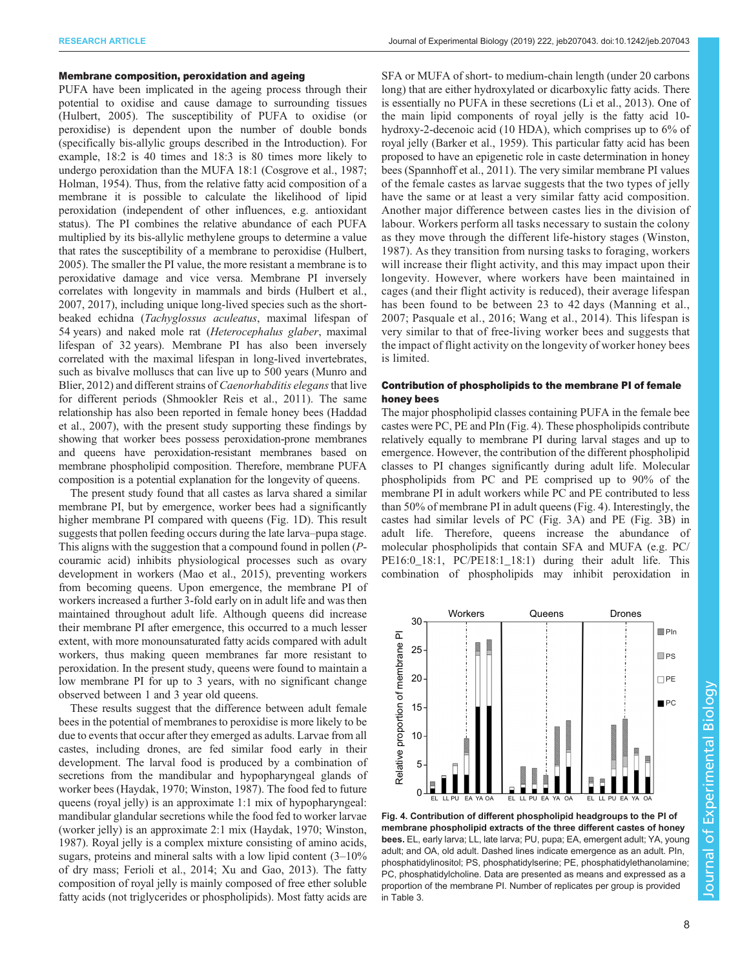#### <span id="page-7-0"></span>Membrane composition, peroxidation and ageing

PUFA have been implicated in the ageing process through their potential to oxidise and cause damage to surrounding tissues [\(Hulbert, 2005\)](#page-9-0). The susceptibility of PUFA to oxidise (or peroxidise) is dependent upon the number of double bonds (specifically bis-allylic groups described in the Introduction). For example, 18:2 is 40 times and 18:3 is 80 times more likely to undergo peroxidation than the MUFA 18:1 ([Cosgrove et al., 1987](#page-9-0); [Holman, 1954](#page-9-0)). Thus, from the relative fatty acid composition of a membrane it is possible to calculate the likelihood of lipid peroxidation (independent of other influences, e.g. antioxidant status). The PI combines the relative abundance of each PUFA multiplied by its bis-allylic methylene groups to determine a value that rates the susceptibility of a membrane to peroxidise ([Hulbert,](#page-9-0) [2005](#page-9-0)). The smaller the PI value, the more resistant a membrane is to peroxidative damage and vice versa. Membrane PI inversely correlates with longevity in mammals and birds ([Hulbert et al.,](#page-9-0) [2007](#page-9-0), [2017\)](#page-10-0), including unique long-lived species such as the shortbeaked echidna (Tachyglossus aculeatus, maximal lifespan of 54 years) and naked mole rat (Heterocephalus glaber, maximal lifespan of 32 years). Membrane PI has also been inversely correlated with the maximal lifespan in long-lived invertebrates, such as bivalve molluscs that can live up to 500 years [\(Munro and](#page-10-0) [Blier, 2012\)](#page-10-0) and different strains of *Caenorhabditis elegans* that live for different periods [\(Shmookler Reis et al., 2011\)](#page-10-0). The same relationship has also been reported in female honey bees ([Haddad](#page-9-0) [et al., 2007\)](#page-9-0), with the present study supporting these findings by showing that worker bees possess peroxidation-prone membranes and queens have peroxidation-resistant membranes based on membrane phospholipid composition. Therefore, membrane PUFA composition is a potential explanation for the longevity of queens.

The present study found that all castes as larva shared a similar membrane PI, but by emergence, worker bees had a significantly higher membrane PI compared with queens [\(Fig. 1](#page-3-0)D). This result suggests that pollen feeding occurs during the late larva–pupa stage. This aligns with the suggestion that a compound found in pollen (Pcouramic acid) inhibits physiological processes such as ovary development in workers [\(Mao et al., 2015](#page-10-0)), preventing workers from becoming queens. Upon emergence, the membrane PI of workers increased a further 3-fold early on in adult life and was then maintained throughout adult life. Although queens did increase their membrane PI after emergence, this occurred to a much lesser extent, with more monounsaturated fatty acids compared with adult workers, thus making queen membranes far more resistant to peroxidation. In the present study, queens were found to maintain a low membrane PI for up to 3 years, with no significant change observed between 1 and 3 year old queens.

These results suggest that the difference between adult female bees in the potential of membranes to peroxidise is more likely to be due to events that occur after they emerged as adults. Larvae from all castes, including drones, are fed similar food early in their development. The larval food is produced by a combination of secretions from the mandibular and hypopharyngeal glands of worker bees [\(Haydak, 1970](#page-9-0); [Winston, 1987\)](#page-10-0). The food fed to future queens (royal jelly) is an approximate 1:1 mix of hypopharyngeal: mandibular glandular secretions while the food fed to worker larvae (worker jelly) is an approximate 2:1 mix [\(Haydak, 1970;](#page-9-0) [Winston,](#page-10-0) [1987](#page-10-0)). Royal jelly is a complex mixture consisting of amino acids, sugars, proteins and mineral salts with a low lipid content (3–10% of dry mass; [Ferioli et al., 2014;](#page-9-0) [Xu and Gao, 2013](#page-10-0)). The fatty composition of royal jelly is mainly composed of free ether soluble fatty acids (not triglycerides or phospholipids). Most fatty acids are

SFA or MUFA of short- to medium-chain length (under 20 carbons long) that are either hydroxylated or dicarboxylic fatty acids. There is essentially no PUFA in these secretions ([Li et al., 2013\)](#page-10-0). One of the main lipid components of royal jelly is the fatty acid 10 hydroxy-2-decenoic acid (10 HDA), which comprises up to 6% of royal jelly [\(Barker et al., 1959\)](#page-9-0). This particular fatty acid has been proposed to have an epigenetic role in caste determination in honey bees ([Spannhoff et al., 2011\)](#page-10-0). The very similar membrane PI values of the female castes as larvae suggests that the two types of jelly have the same or at least a very similar fatty acid composition. Another major difference between castes lies in the division of labour. Workers perform all tasks necessary to sustain the colony as they move through the different life-history stages ([Winston,](#page-10-0) [1987\)](#page-10-0). As they transition from nursing tasks to foraging, workers will increase their flight activity, and this may impact upon their longevity. However, where workers have been maintained in cages (and their flight activity is reduced), their average lifespan has been found to be between 23 to 42 days ([Manning et al.,](#page-10-0) [2007; Pasquale et al., 2016](#page-10-0); [Wang et al., 2014\)](#page-10-0). This lifespan is very similar to that of free-living worker bees and suggests that the impact of flight activity on the longevity of worker honey bees is limited.

### Contribution of phospholipids to the membrane PI of female honey bees

The major phospholipid classes containing PUFA in the female bee castes were PC, PE and PIn (Fig. 4). These phospholipids contribute relatively equally to membrane PI during larval stages and up to emergence. However, the contribution of the different phospholipid classes to PI changes significantly during adult life. Molecular phospholipids from PC and PE comprised up to 90% of the membrane PI in adult workers while PC and PE contributed to less than 50% of membrane PI in adult queens (Fig. 4). Interestingly, the castes had similar levels of PC [\(Fig. 3](#page-4-0)A) and PE ([Fig. 3B](#page-4-0)) in adult life. Therefore, queens increase the abundance of molecular phospholipids that contain SFA and MUFA (e.g. PC/ PE16:0\_18:1, PC/PE18:1\_18:1) during their adult life. This combination of phospholipids may inhibit peroxidation in



Fig. 4. Contribution of different phospholipid headgroups to the PI of membrane phospholipid extracts of the three different castes of honey bees. EL, early larva; LL, late larva; PU, pupa; EA, emergent adult; YA, young adult; and OA, old adult. Dashed lines indicate emergence as an adult. PIn, phosphatidylinositol; PS, phosphatidylserine; PE, phosphatidylethanolamine; PC, phosphatidylcholine. Data are presented as means and expressed as a proportion of the membrane PI. Number of replicates per group is provided in [Table 3.](#page-2-0)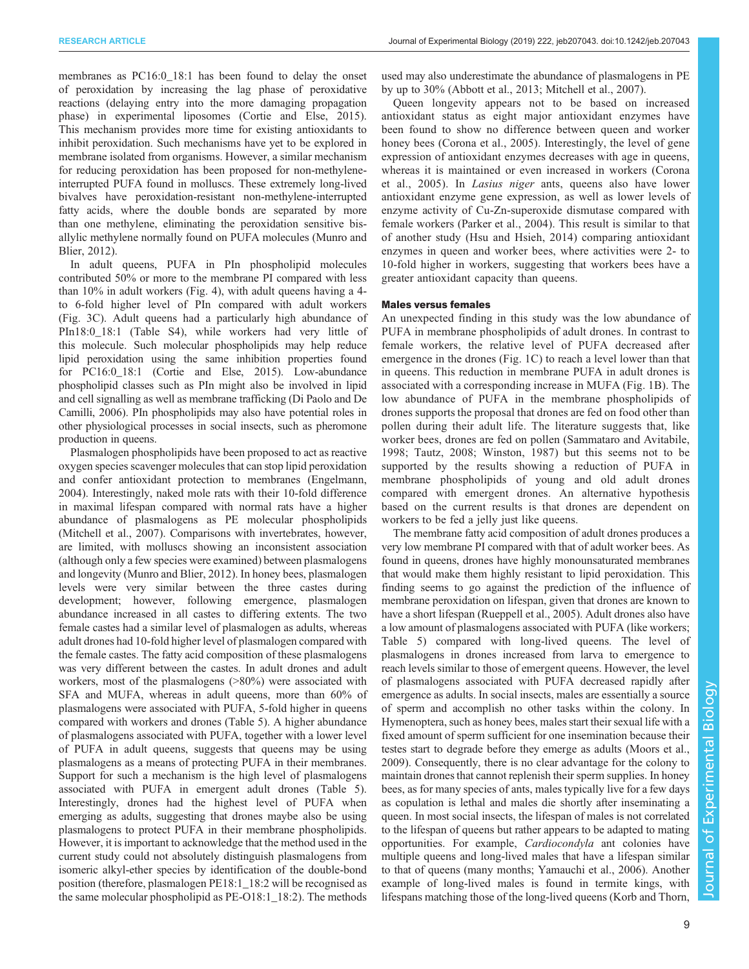membranes as PC16:0\_18:1 has been found to delay the onset of peroxidation by increasing the lag phase of peroxidative reactions (delaying entry into the more damaging propagation phase) in experimental liposomes ([Cortie and Else, 2015\)](#page-9-0). This mechanism provides more time for existing antioxidants to inhibit peroxidation. Such mechanisms have yet to be explored in membrane isolated from organisms. However, a similar mechanism for reducing peroxidation has been proposed for non-methyleneinterrupted PUFA found in molluscs. These extremely long-lived bivalves have peroxidation-resistant non-methylene-interrupted fatty acids, where the double bonds are separated by more than one methylene, eliminating the peroxidation sensitive bisallylic methylene normally found on PUFA molecules [\(Munro and](#page-10-0) [Blier, 2012\)](#page-10-0).

In adult queens, PUFA in PIn phospholipid molecules contributed 50% or more to the membrane PI compared with less than 10% in adult workers [\(Fig. 4\)](#page-7-0), with adult queens having a 4 to 6-fold higher level of PIn compared with adult workers [\(Fig. 3C](#page-4-0)). Adult queens had a particularly high abundance of PIn18:0\_18:1 [\(Table S4\)](http://jeb.biologists.org/lookup/doi/10.1242/jeb.207043.supplemental), while workers had very little of this molecule. Such molecular phospholipids may help reduce lipid peroxidation using the same inhibition properties found for PC16:0\_18:1 ([Cortie and Else, 2015\)](#page-9-0). Low-abundance phospholipid classes such as PIn might also be involved in lipid and cell signalling as well as membrane trafficking [\(Di Paolo and De](#page-9-0) [Camilli, 2006\)](#page-9-0). PIn phospholipids may also have potential roles in other physiological processes in social insects, such as pheromone production in queens.

Plasmalogen phospholipids have been proposed to act as reactive oxygen species scavenger molecules that can stop lipid peroxidation and confer antioxidant protection to membranes ([Engelmann,](#page-9-0) [2004](#page-9-0)). Interestingly, naked mole rats with their 10-fold difference in maximal lifespan compared with normal rats have a higher abundance of plasmalogens as PE molecular phospholipids [\(Mitchell et al., 2007](#page-10-0)). Comparisons with invertebrates, however, are limited, with molluscs showing an inconsistent association (although only a few species were examined) between plasmalogens and longevity [\(Munro and Blier, 2012](#page-10-0)). In honey bees, plasmalogen levels were very similar between the three castes during development; however, following emergence, plasmalogen abundance increased in all castes to differing extents. The two female castes had a similar level of plasmalogen as adults, whereas adult drones had 10-fold higher level of plasmalogen compared with the female castes. The fatty acid composition of these plasmalogens was very different between the castes. In adult drones and adult workers, most of the plasmalogens (>80%) were associated with SFA and MUFA, whereas in adult queens, more than 60% of plasmalogens were associated with PUFA, 5-fold higher in queens compared with workers and drones ([Table 5](#page-6-0)). A higher abundance of plasmalogens associated with PUFA, together with a lower level of PUFA in adult queens, suggests that queens may be using plasmalogens as a means of protecting PUFA in their membranes. Support for such a mechanism is the high level of plasmalogens associated with PUFA in emergent adult drones [\(Table 5\)](#page-6-0). Interestingly, drones had the highest level of PUFA when emerging as adults, suggesting that drones maybe also be using plasmalogens to protect PUFA in their membrane phospholipids. However, it is important to acknowledge that the method used in the current study could not absolutely distinguish plasmalogens from isomeric alkyl-ether species by identification of the double-bond position (therefore, plasmalogen PE18:1\_18:2 will be recognised as the same molecular phospholipid as PE-O18:1\_18:2). The methods

used may also underestimate the abundance of plasmalogens in PE by up to 30% [\(Abbott et al., 2013;](#page-9-0) [Mitchell et al., 2007](#page-10-0)).

Queen longevity appears not to be based on increased antioxidant status as eight major antioxidant enzymes have been found to show no difference between queen and worker honey bees ([Corona et al., 2005\)](#page-9-0). Interestingly, the level of gene expression of antioxidant enzymes decreases with age in queens, whereas it is maintained or even increased in workers ([Corona](#page-9-0) [et al., 2005](#page-9-0)). In Lasius niger ants, queens also have lower antioxidant enzyme gene expression, as well as lower levels of enzyme activity of Cu-Zn-superoxide dismutase compared with female workers [\(Parker et al., 2004](#page-10-0)). This result is similar to that of another study ([Hsu and Hsieh, 2014\)](#page-9-0) comparing antioxidant enzymes in queen and worker bees, where activities were 2- to 10-fold higher in workers, suggesting that workers bees have a greater antioxidant capacity than queens.

## Males versus females

An unexpected finding in this study was the low abundance of PUFA in membrane phospholipids of adult drones. In contrast to female workers, the relative level of PUFA decreased after emergence in the drones [\(Fig. 1](#page-3-0)C) to reach a level lower than that in queens. This reduction in membrane PUFA in adult drones is associated with a corresponding increase in MUFA ([Fig. 1B](#page-3-0)). The low abundance of PUFA in the membrane phospholipids of drones supports the proposal that drones are fed on food other than pollen during their adult life. The literature suggests that, like worker bees, drones are fed on pollen ([Sammataro and Avitabile,](#page-10-0) [1998](#page-10-0); [Tautz, 2008](#page-10-0); [Winston, 1987\)](#page-10-0) but this seems not to be supported by the results showing a reduction of PUFA in membrane phospholipids of young and old adult drones compared with emergent drones. An alternative hypothesis based on the current results is that drones are dependent on workers to be fed a jelly just like queens.

The membrane fatty acid composition of adult drones produces a very low membrane PI compared with that of adult worker bees. As found in queens, drones have highly monounsaturated membranes that would make them highly resistant to lipid peroxidation. This finding seems to go against the prediction of the influence of membrane peroxidation on lifespan, given that drones are known to have a short lifespan ([Rueppell et al., 2005](#page-10-0)). Adult drones also have a low amount of plasmalogens associated with PUFA (like workers; [Table 5\)](#page-6-0) compared with long-lived queens. The level of plasmalogens in drones increased from larva to emergence to reach levels similar to those of emergent queens. However, the level of plasmalogens associated with PUFA decreased rapidly after emergence as adults. In social insects, males are essentially a source of sperm and accomplish no other tasks within the colony. In Hymenoptera, such as honey bees, males start their sexual life with a fixed amount of sperm sufficient for one insemination because their testes start to degrade before they emerge as adults ([Moors et al.,](#page-10-0) [2009\)](#page-10-0). Consequently, there is no clear advantage for the colony to maintain drones that cannot replenish their sperm supplies. In honey bees, as for many species of ants, males typically live for a few days as copulation is lethal and males die shortly after inseminating a queen. In most social insects, the lifespan of males is not correlated to the lifespan of queens but rather appears to be adapted to mating opportunities. For example, Cardiocondyla ant colonies have multiple queens and long-lived males that have a lifespan similar to that of queens (many months; [Yamauchi et al., 2006\)](#page-10-0). Another example of long-lived males is found in termite kings, with lifespans matching those of the long-lived queens [\(Korb and Thorn,](#page-10-0)

Journal of Experimental Biology

Journal of

Experimental Biology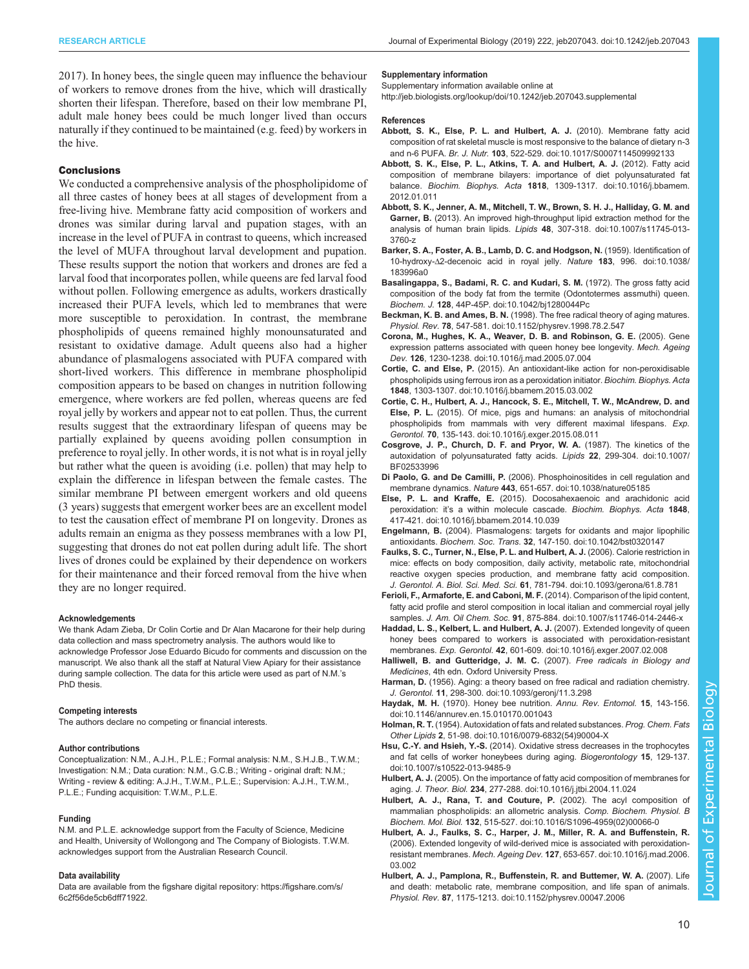<span id="page-9-0"></span>[2017](#page-10-0)). In honey bees, the single queen may influence the behaviour of workers to remove drones from the hive, which will drastically shorten their lifespan. Therefore, based on their low membrane PI, adult male honey bees could be much longer lived than occurs naturally if they continued to be maintained (e.g. feed) by workers in the hive.

#### **Conclusions**

We conducted a comprehensive analysis of the phospholipidome of all three castes of honey bees at all stages of development from a free-living hive. Membrane fatty acid composition of workers and drones was similar during larval and pupation stages, with an increase in the level of PUFA in contrast to queens, which increased the level of MUFA throughout larval development and pupation. These results support the notion that workers and drones are fed a larval food that incorporates pollen, while queens are fed larval food without pollen. Following emergence as adults, workers drastically increased their PUFA levels, which led to membranes that were more susceptible to peroxidation. In contrast, the membrane phospholipids of queens remained highly monounsaturated and resistant to oxidative damage. Adult queens also had a higher abundance of plasmalogens associated with PUFA compared with short-lived workers. This difference in membrane phospholipid composition appears to be based on changes in nutrition following emergence, where workers are fed pollen, whereas queens are fed royal jelly by workers and appear not to eat pollen. Thus, the current results suggest that the extraordinary lifespan of queens may be partially explained by queens avoiding pollen consumption in preference to royal jelly. In other words, it is not what is in royal jelly but rather what the queen is avoiding (i.e. pollen) that may help to explain the difference in lifespan between the female castes. The similar membrane PI between emergent workers and old queens (3 years) suggests that emergent worker bees are an excellent model to test the causation effect of membrane PI on longevity. Drones as adults remain an enigma as they possess membranes with a low PI, suggesting that drones do not eat pollen during adult life. The short lives of drones could be explained by their dependence on workers for their maintenance and their forced removal from the hive when they are no longer required.

#### Acknowledgements

We thank Adam Zieba, Dr Colin Cortie and Dr Alan Macarone for their help during data collection and mass spectrometry analysis. The authors would like to acknowledge Professor Jose Eduardo Bicudo for comments and discussion on the manuscript. We also thank all the staff at Natural View Apiary for their assistance during sample collection. The data for this article were used as part of N.M.'s PhD thesis.

#### Competing interests

The authors declare no competing or financial interests.

#### Author contributions

Conceptualization: N.M., A.J.H., P.L.E.; Formal analysis: N.M., S.H.J.B., T.W.M.; Investigation: N.M.; Data curation: N.M., G.C.B.; Writing - original draft: N.M.; Writing - review & editing: A.J.H., T.W.M., P.L.E.; Supervision: A.J.H., T.W.M., P.L.E.; Funding acquisition: T.W.M., P.L.E.

#### Funding

N.M. and P.L.E. acknowledge support from the Faculty of Science, Medicine and Health, University of Wollongong and The Company of Biologists. T.W.M. acknowledges support from the Australian Research Council.

#### Data availability

Data are available from the figshare digital repository: [https://figshare.com/s/](https://figshare.com/s/6c2f56de5cb6dff71922) [6c2f56de5cb6dff71922.](https://figshare.com/s/6c2f56de5cb6dff71922)

#### Supplementary information

Supplementary information available online at <http://jeb.biologists.org/lookup/doi/10.1242/jeb.207043.supplemental>

#### References

- [Abbott, S. K., Else, P. L. and Hulbert, A. J.](https://doi.org/10.1017/S0007114509992133) (2010). Membrane fatty acid [composition of rat skeletal muscle is most responsive to the balance of dietary n-3](https://doi.org/10.1017/S0007114509992133) and n-6 PUFA. Br. J. Nutr. 103[, 522-529. doi:10.1017/S0007114509992133](https://doi.org/10.1017/S0007114509992133)
- [Abbott, S. K., Else, P. L., Atkins, T. A. and Hulbert, A. J.](https://doi.org/10.1016/j.bbamem.2012.01.011) (2012). Fatty acid [composition of membrane bilayers: importance of diet polyunsaturated fat](https://doi.org/10.1016/j.bbamem.2012.01.011) balance. Biochim. Biophys. Acta 1818[, 1309-1317. doi:10.1016/j.bbamem.](https://doi.org/10.1016/j.bbamem.2012.01.011) [2012.01.011](https://doi.org/10.1016/j.bbamem.2012.01.011)
- [Abbott, S. K., Jenner, A. M., Mitchell, T. W., Brown, S. H. J., Halliday, G. M. and](https://doi.org/10.1007/s11745-013-3760-z) Garner, B. [\(2013\). An improved high-throughput lipid extraction method for the](https://doi.org/10.1007/s11745-013-3760-z) analysis of human brain lipids. Lipids 48[, 307-318. doi:10.1007/s11745-013-](https://doi.org/10.1007/s11745-013-3760-z) [3760-z](https://doi.org/10.1007/s11745-013-3760-z)
- [Barker, S. A., Foster, A. B., Lamb, D. C. and Hodgson, N.](https://doi.org/10.1038/183996a0) (1959). Identification of 10-hydroxy-Δ[2-decenoic acid in royal jelly.](https://doi.org/10.1038/183996a0) Nature 183, 996. doi:10.1038/ [183996a0](https://doi.org/10.1038/183996a0)
- [Basalingappa, S., Badami, R. C. and Kudari, S. M.](https://doi.org/10.1042/bj1280044Pc) (1972). The gross fatty acid [composition of the body fat from the termite \(Odontotermes assmuthi\) queen.](https://doi.org/10.1042/bj1280044Pc) Biochem. J. 128[, 44P-45P. doi:10.1042/bj1280044Pc](https://doi.org/10.1042/bj1280044Pc)
- Beckman, K. B. and Ames, B. N. [\(1998\). The free radical theory of aging matures.](https://doi.org/10.1152/physrev.1998.78.2.547) Physiol. Rev. 78[, 547-581. doi:10.1152/physrev.1998.78.2.547](https://doi.org/10.1152/physrev.1998.78.2.547)
- [Corona, M., Hughes, K. A., Weaver, D. B. and Robinson, G. E.](https://doi.org/10.1016/j.mad.2005.07.004) (2005). Gene [expression patterns associated with queen honey bee longevity.](https://doi.org/10.1016/j.mad.2005.07.004) Mech. Ageing Dev. 126[, 1230-1238. doi:10.1016/j.mad.2005.07.004](https://doi.org/10.1016/j.mad.2005.07.004)
- Cortie, C. and Else, P. [\(2015\). An antioxidant-like action for non-peroxidisable](https://doi.org/10.1016/j.bbamem.2015.03.002) [phospholipids using ferrous iron as a peroxidation initiator.](https://doi.org/10.1016/j.bbamem.2015.03.002) Biochim. Biophys. Acta 1848[, 1303-1307. doi:10.1016/j.bbamem.2015.03.002](https://doi.org/10.1016/j.bbamem.2015.03.002)
- [Cortie, C. H., Hulbert, A. J., Hancock, S. E., Mitchell, T. W., McAndrew, D. and](https://doi.org/10.1016/j.exger.2015.08.011) Else, P. L. [\(2015\). Of mice, pigs and humans: an analysis of mitochondrial](https://doi.org/10.1016/j.exger.2015.08.011) [phospholipids from mammals with very different maximal lifespans.](https://doi.org/10.1016/j.exger.2015.08.011) Exp. Gerontol. 70[, 135-143. doi:10.1016/j.exger.2015.08.011](https://doi.org/10.1016/j.exger.2015.08.011)
- [Cosgrove, J. P., Church, D. F. and Pryor, W. A.](https://doi.org/10.1007/BF02533996) (1987). The kinetics of the [autoxidation of polyunsaturated fatty acids.](https://doi.org/10.1007/BF02533996) Lipids 22, 299-304. doi:10.1007/ [BF02533996](https://doi.org/10.1007/BF02533996)
- Di Paolo, G. and De Camilli, P. [\(2006\). Phosphoinositides in cell regulation and](https://doi.org/10.1038/nature05185) membrane dynamics. Nature 443[, 651-657. doi:10.1038/nature05185](https://doi.org/10.1038/nature05185)
- Else, P. L. and Kraffe, E. [\(2015\). Docosahexaenoic and arachidonic acid](https://doi.org/10.1016/j.bbamem.2014.10.039) peroxidation: it'[s a within molecule cascade.](https://doi.org/10.1016/j.bbamem.2014.10.039) Biochim. Biophys. Acta 1848, [417-421. doi:10.1016/j.bbamem.2014.10.039](https://doi.org/10.1016/j.bbamem.2014.10.039)
- Engelmann, B. [\(2004\). Plasmalogens: targets for oxidants and major lipophilic](https://doi.org/10.1042/bst0320147) antioxidants. Biochem. Soc. Trans. 32[, 147-150. doi:10.1042/bst0320147](https://doi.org/10.1042/bst0320147)
- [Faulks, S. C., Turner, N., Else, P. L. and Hulbert, A. J.](https://doi.org/10.1093/gerona/61.8.781) (2006). Calorie restriction in [mice: effects on body composition, daily activity, metabolic rate, mitochondrial](https://doi.org/10.1093/gerona/61.8.781) [reactive oxygen species production, and membrane fatty acid composition.](https://doi.org/10.1093/gerona/61.8.781) J. Gerontol. A. Biol. Sci. Med. Sci. 61[, 781-794. doi:10.1093/gerona/61.8.781](https://doi.org/10.1093/gerona/61.8.781)
- [Ferioli, F., Armaforte, E. and Caboni, M. F.](https://doi.org/10.1007/s11746-014-2446-x) (2014). Comparison of the lipid content, [fatty acid profile and sterol composition in local italian and commercial royal jelly](https://doi.org/10.1007/s11746-014-2446-x) samples. J. Am. Oil Chem. Soc. 91[, 875-884. doi:10.1007/s11746-014-2446-x](https://doi.org/10.1007/s11746-014-2446-x)
- [Haddad, L. S., Kelbert, L. and Hulbert, A. J.](https://doi.org/10.1016/j.exger.2007.02.008) (2007). Extended longevity of queen [honey bees compared to workers is associated with peroxidation-resistant](https://doi.org/10.1016/j.exger.2007.02.008) membranes. Exp. Gerontol. 42[, 601-609. doi:10.1016/j.exger.2007.02.008](https://doi.org/10.1016/j.exger.2007.02.008)
- Halliwell, B. and Gutteridge, J. M. C. (2007). Free radicals in Biology and Medicines, 4th edn. Oxford University Press.
- Harman, D. [\(1956\). Aging: a theory based on free radical and radiation chemistry.](https://doi.org/10.1093/geronj/11.3.298) J. Gerontol. 11[, 298-300. doi:10.1093/geronj/11.3.298](https://doi.org/10.1093/geronj/11.3.298)
- Haydak, M. H. [\(1970\). Honey bee nutrition.](https://doi.org/10.1146/annurev.en.15.010170.001043) Annu. Rev. Entomol. 15, 143-156 [doi:10.1146/annurev.en.15.010170.001043](https://doi.org/10.1146/annurev.en.15.010170.001043)
- Holman, R. T. [\(1954\). Autoxidation of fats and related substances.](https://doi.org/10.1016/0079-6832(54)90004-X) Prog. Chem. Fats Other Lipids 2[, 51-98. doi:10.1016/0079-6832\(54\)90004-X](https://doi.org/10.1016/0079-6832(54)90004-X)
- Hsu, C.-Y. and Hsieh, Y.-S. [\(2014\). Oxidative stress decreases in the trophocytes](https://doi.org/10.1007/s10522-013-9485-9) [and fat cells of worker honeybees during aging.](https://doi.org/10.1007/s10522-013-9485-9) Biogerontology 15, 129-137. [doi:10.1007/s10522-013-9485-9](https://doi.org/10.1007/s10522-013-9485-9)
- Hulbert, A. J. [\(2005\). On the importance of fatty acid composition of membranes for](https://doi.org/10.1016/j.jtbi.2004.11.024) aging. J. Theor. Biol. 234[, 277-288. doi:10.1016/j.jtbi.2004.11.024](https://doi.org/10.1016/j.jtbi.2004.11.024)
- [Hulbert, A. J., Rana, T. and Couture, P.](https://doi.org/10.1016/S1096-4959(02)00066-0) (2002). The acyl composition of [mammalian phospholipids: an allometric analysis.](https://doi.org/10.1016/S1096-4959(02)00066-0) Comp. Biochem. Physiol. B Biochem. Mol. Biol. 132[, 515-527. doi:10.1016/S1096-4959\(02\)00066-0](https://doi.org/10.1016/S1096-4959(02)00066-0)
- [Hulbert, A. J., Faulks, S. C., Harper, J. M., Miller, R. A. and Buffenstein, R.](https://doi.org/10.1016/j.mad.2006.03.002) [\(2006\). Extended longevity of wild-derived mice is associated with peroxidation](https://doi.org/10.1016/j.mad.2006.03.002)resistant membranes. Mech. Ageing Dev. 127[, 653-657. doi:10.1016/j.mad.2006.](https://doi.org/10.1016/j.mad.2006.03.002) [03.002](https://doi.org/10.1016/j.mad.2006.03.002)
- [Hulbert, A. J., Pamplona, R., Buffenstein, R. and Buttemer, W. A.](https://doi.org/10.1152/physrev.00047.2006) (2007). Life [and death: metabolic rate, membrane composition, and life span of animals.](https://doi.org/10.1152/physrev.00047.2006) Physiol. Rev. 87[, 1175-1213. doi:10.1152/physrev.00047.2006](https://doi.org/10.1152/physrev.00047.2006)